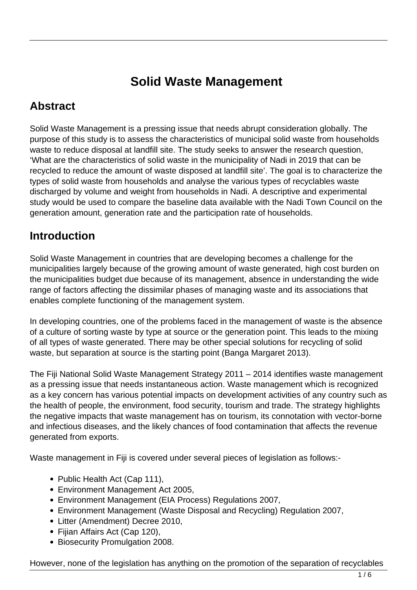# **Solid Waste Management**

### **Abstract**

Solid Waste Management is a pressing issue that needs abrupt consideration globally. The purpose of this study is to assess the characteristics of municipal solid waste from households waste to reduce disposal at landfill site. The study seeks to answer the research question, 'What are the characteristics of solid waste in the municipality of Nadi in 2019 that can be recycled to reduce the amount of waste disposed at landfill site'. The goal is to characterize the types of solid waste from households and analyse the various types of recyclables waste discharged by volume and weight from households in Nadi. A descriptive and experimental study would be used to compare the baseline data available with the Nadi Town Council on the generation amount, generation rate and the participation rate of households.

### **Introduction**

Solid Waste Management in countries that are developing becomes a challenge for the municipalities largely because of the growing amount of waste generated, high cost burden on the municipalities budget due because of its management, absence in understanding the wide range of factors affecting the dissimilar phases of managing waste and its associations that enables complete functioning of the management system.

In developing countries, one of the problems faced in the management of waste is the absence of a culture of sorting waste by type at source or the generation point. This leads to the mixing of all types of waste generated. There may be other special solutions for recycling of solid waste, but separation at source is the starting point (Banga Margaret 2013).

The Fiji National Solid Waste Management Strategy 2011 – 2014 identifies waste management as a pressing issue that needs instantaneous action. Waste management which is recognized as a key concern has various potential impacts on development activities of any country such as the health of people, the environment, food security, tourism and trade. The strategy highlights the negative impacts that waste management has on tourism, its connotation with vector-borne and infectious diseases, and the likely chances of food contamination that affects the revenue generated from exports.

Waste management in Fiji is covered under several pieces of legislation as follows:-

- Public Health Act (Cap 111),
- Environment Management Act 2005,
- Environment Management (EIA Process) Regulations 2007,
- Environment Management (Waste Disposal and Recycling) Regulation 2007,
- Litter (Amendment) Decree 2010,
- Fijian Affairs Act (Cap 120),
- Biosecurity Promulgation 2008.

However, none of the legislation has anything on the promotion of the separation of recyclables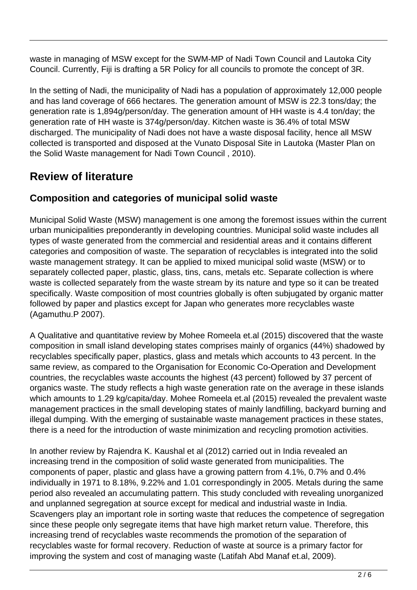waste in managing of MSW except for the SWM-MP of Nadi Town Council and Lautoka City Council. Currently, Fiji is drafting a 5R Policy for all councils to promote the concept of 3R.

In the setting of Nadi, the municipality of Nadi has a population of approximately 12,000 people and has land coverage of 666 hectares. The generation amount of MSW is 22.3 tons/day; the generation rate is 1,894g/person/day. The generation amount of HH waste is 4.4 ton/day; the generation rate of HH waste is 374g/person/day. Kitchen waste is 36.4% of total MSW discharged. The municipality of Nadi does not have a waste disposal facility, hence all MSW collected is transported and disposed at the Vunato Disposal Site in Lautoka (Master Plan on the Solid Waste management for Nadi Town Council , 2010).

### **Review of literature**

#### **Composition and categories of municipal solid waste**

Municipal Solid Waste (MSW) management is one among the foremost issues within the current urban municipalities preponderantly in developing countries. Municipal solid waste includes all types of waste generated from the commercial and residential areas and it contains different categories and composition of waste. The separation of recyclables is integrated into the solid waste management strategy. It can be applied to mixed municipal solid waste (MSW) or to separately collected paper, plastic, glass, tins, cans, metals etc. Separate collection is where waste is collected separately from the waste stream by its nature and type so it can be treated specifically. Waste composition of most countries globally is often subjugated by organic matter followed by paper and plastics except for Japan who generates more recyclables waste (Agamuthu.P 2007).

A Qualitative and quantitative review by Mohee Romeela et.al (2015) discovered that the waste composition in small island developing states comprises mainly of organics (44%) shadowed by recyclables specifically paper, plastics, glass and metals which accounts to 43 percent. In the same review, as compared to the Organisation for Economic Co-Operation and Development countries, the recyclables waste accounts the highest (43 percent) followed by 37 percent of organics waste. The study reflects a high waste generation rate on the average in these islands which amounts to 1.29 kg/capita/day. Mohee Romeela et.al (2015) revealed the prevalent waste management practices in the small developing states of mainly landfilling, backyard burning and illegal dumping. With the emerging of sustainable waste management practices in these states, there is a need for the introduction of waste minimization and recycling promotion activities.

In another review by Rajendra K. Kaushal et al (2012) carried out in India revealed an increasing trend in the composition of solid waste generated from municipalities. The components of paper, plastic and glass have a growing pattern from 4.1%, 0.7% and 0.4% individually in 1971 to 8.18%, 9.22% and 1.01 correspondingly in 2005. Metals during the same period also revealed an accumulating pattern. This study concluded with revealing unorganized and unplanned segregation at source except for medical and industrial waste in India. Scavengers play an important role in sorting waste that reduces the competence of segregation since these people only segregate items that have high market return value. Therefore, this increasing trend of recyclables waste recommends the promotion of the separation of recyclables waste for formal recovery. Reduction of waste at source is a primary factor for improving the system and cost of managing waste (Latifah Abd Manaf et.al, 2009).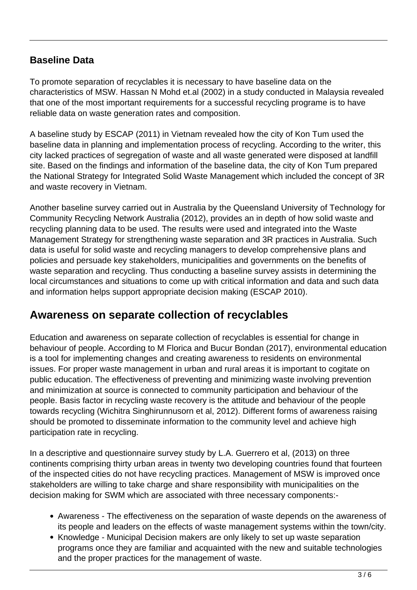#### **Baseline Data**

To promote separation of recyclables it is necessary to have baseline data on the characteristics of MSW. Hassan N Mohd et.al (2002) in a study conducted in Malaysia revealed that one of the most important requirements for a successful recycling programe is to have reliable data on waste generation rates and composition.

A baseline study by ESCAP (2011) in Vietnam revealed how the city of Kon Tum used the baseline data in planning and implementation process of recycling. According to the writer, this city lacked practices of segregation of waste and all waste generated were disposed at landfill site. Based on the findings and information of the baseline data, the city of Kon Tum prepared the National Strategy for Integrated Solid Waste Management which included the concept of 3R and waste recovery in Vietnam.

Another baseline survey carried out in Australia by the Queensland University of Technology for Community Recycling Network Australia (2012), provides an in depth of how solid waste and recycling planning data to be used. The results were used and integrated into the Waste Management Strategy for strengthening waste separation and 3R practices in Australia. Such data is useful for solid waste and recycling managers to develop comprehensive plans and policies and persuade key stakeholders, municipalities and governments on the benefits of waste separation and recycling. Thus conducting a baseline survey assists in determining the local circumstances and situations to come up with critical information and data and such data and information helps support appropriate decision making (ESCAP 2010).

### **Awareness on separate collection of recyclables**

Education and awareness on separate collection of recyclables is essential for change in behaviour of people. According to M Florica and Bucur Bondan (2017), environmental education is a tool for implementing changes and creating awareness to residents on environmental issues. For proper waste management in urban and rural areas it is important to cogitate on public education. The effectiveness of preventing and minimizing waste involving prevention and minimization at source is connected to community participation and behaviour of the people. Basis factor in recycling waste recovery is the attitude and behaviour of the people towards recycling (Wichitra Singhirunnusorn et al, 2012). Different forms of awareness raising should be promoted to disseminate information to the community level and achieve high participation rate in recycling.

In a descriptive and questionnaire survey study by L.A. Guerrero et al, (2013) on three continents comprising thirty urban areas in twenty two developing countries found that fourteen of the inspected cities do not have recycling practices. Management of MSW is improved once stakeholders are willing to take charge and share responsibility with municipalities on the decision making for SWM which are associated with three necessary components:-

- Awareness The effectiveness on the separation of waste depends on the awareness of its people and leaders on the effects of waste management systems within the town/city.
- Knowledge Municipal Decision makers are only likely to set up waste separation programs once they are familiar and acquainted with the new and suitable technologies and the proper practices for the management of waste.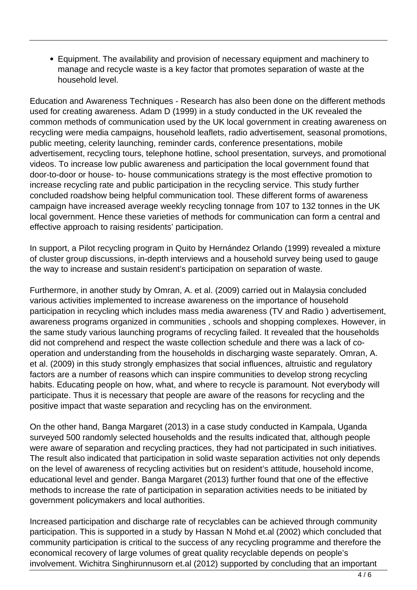Equipment. The availability and provision of necessary equipment and machinery to manage and recycle waste is a key factor that promotes separation of waste at the household level.

Education and Awareness Techniques - Research has also been done on the different methods used for creating awareness. Adam D (1999) in a study conducted in the UK revealed the common methods of communication used by the UK local government in creating awareness on recycling were media campaigns, household leaflets, radio advertisement, seasonal promotions, public meeting, celerity launching, reminder cards, conference presentations, mobile advertisement, recycling tours, telephone hotline, school presentation, surveys, and promotional videos. To increase low public awareness and participation the local government found that door-to-door or house- to- house communications strategy is the most effective promotion to increase recycling rate and public participation in the recycling service. This study further concluded roadshow being helpful communication tool. These different forms of awareness campaign have increased average weekly recycling tonnage from 107 to 132 tonnes in the UK local government. Hence these varieties of methods for communication can form a central and effective approach to raising residents' participation.

In support, a Pilot recycling program in Quito by Hernández Orlando (1999) revealed a mixture of cluster group discussions, in-depth interviews and a household survey being used to gauge the way to increase and sustain resident's participation on separation of waste.

Furthermore, in another study by Omran, A. et al. (2009) carried out in Malaysia concluded various activities implemented to increase awareness on the importance of household participation in recycling which includes mass media awareness (TV and Radio ) advertisement, awareness programs organized in communities , schools and shopping complexes. However, in the same study various launching programs of recycling failed. It revealed that the households did not comprehend and respect the waste collection schedule and there was a lack of cooperation and understanding from the households in discharging waste separately. Omran, A. et al. (2009) in this study strongly emphasizes that social influences, altruistic and regulatory factors are a number of reasons which can inspire communities to develop strong recycling habits. Educating people on how, what, and where to recycle is paramount. Not everybody will participate. Thus it is necessary that people are aware of the reasons for recycling and the positive impact that waste separation and recycling has on the environment.

On the other hand, Banga Margaret (2013) in a case study conducted in Kampala, Uganda surveyed 500 randomly selected households and the results indicated that, although people were aware of separation and recycling practices, they had not participated in such initiatives. The result also indicated that participation in solid waste separation activities not only depends on the level of awareness of recycling activities but on resident's attitude, household income, educational level and gender. Banga Margaret (2013) further found that one of the effective methods to increase the rate of participation in separation activities needs to be initiated by government policymakers and local authorities.

Increased participation and discharge rate of recyclables can be achieved through community participation. This is supported in a study by Hassan N Mohd et.al (2002) which concluded that community participation is critical to the success of any recycling programme and therefore the economical recovery of large volumes of great quality recyclable depends on people's involvement. Wichitra Singhirunnusorn et.al (2012) supported by concluding that an important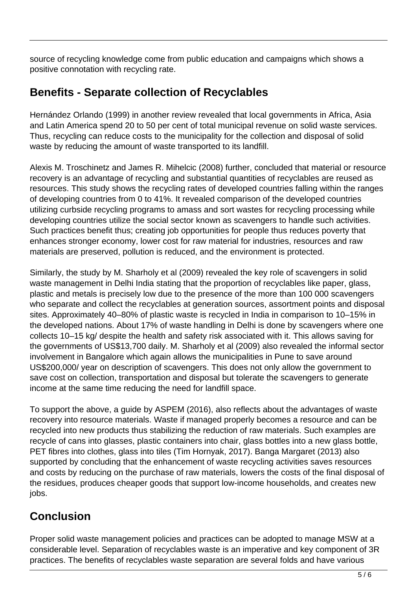source of recycling knowledge come from public education and campaigns which shows a positive connotation with recycling rate.

### **Benefits - Separate collection of Recyclables**

Hernández Orlando (1999) in another review revealed that local governments in Africa, Asia and Latin America spend 20 to 50 per cent of total municipal revenue on solid waste services. Thus, recycling can reduce costs to the municipality for the collection and disposal of solid waste by reducing the amount of waste transported to its landfill.

Alexis M. Troschinetz and James R. Mihelcic (2008) further, concluded that material or resource recovery is an advantage of recycling and substantial quantities of recyclables are reused as resources. This study shows the recycling rates of developed countries falling within the ranges of developing countries from 0 to 41%. It revealed comparison of the developed countries utilizing curbside recycling programs to amass and sort wastes for recycling processing while developing countries utilize the social sector known as scavengers to handle such activities. Such practices benefit thus; creating job opportunities for people thus reduces poverty that enhances stronger economy, lower cost for raw material for industries, resources and raw materials are preserved, pollution is reduced, and the environment is protected.

Similarly, the study by M. Sharholy et al (2009) revealed the key role of scavengers in solid waste management in Delhi India stating that the proportion of recyclables like paper, glass, plastic and metals is precisely low due to the presence of the more than 100 000 scavengers who separate and collect the recyclables at generation sources, assortment points and disposal sites. Approximately 40–80% of plastic waste is recycled in India in comparison to 10–15% in the developed nations. About 17% of waste handling in Delhi is done by scavengers where one collects 10–15 kg/ despite the health and safety risk associated with it. This allows saving for the governments of US\$13,700 daily. M. Sharholy et al (2009) also revealed the informal sector involvement in Bangalore which again allows the municipalities in Pune to save around US\$200,000/ year on description of scavengers. This does not only allow the government to save cost on collection, transportation and disposal but tolerate the scavengers to generate income at the same time reducing the need for landfill space.

To support the above, a guide by ASPEM (2016), also reflects about the advantages of waste recovery into resource materials. Waste if managed properly becomes a resource and can be recycled into new products thus stabilizing the reduction of raw materials. Such examples are recycle of cans into glasses, plastic containers into chair, glass bottles into a new glass bottle, PET fibres into clothes, glass into tiles (Tim Hornyak, 2017). Banga Margaret (2013) also supported by concluding that the enhancement of waste recycling activities saves resources and costs by reducing on the purchase of raw materials, lowers the costs of the final disposal of the residues, produces cheaper goods that support low-income households, and creates new jobs.

## **Conclusion**

Proper solid waste management policies and practices can be adopted to manage MSW at a considerable level. Separation of recyclables waste is an imperative and key component of 3R practices. The benefits of recyclables waste separation are several folds and have various